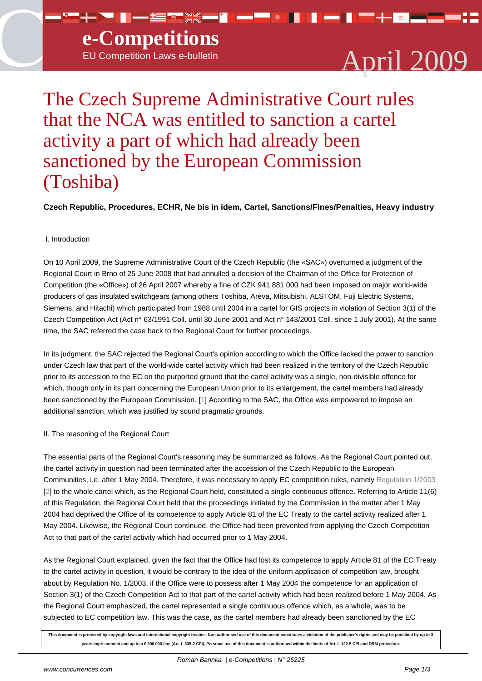

# The Czech Supreme Administrative Court rules that the NCA was entitled to sanction a cartel activity a part of which had already been sanctioned by the European Commission (Toshiba)

## **Czech Republic, Procedures, ECHR, Ne bis in idem, Cartel, Sanctions/Fines/Penalties, Heavy industry**

### I. Introduction

On 10 April 2009, the Supreme Administrative Court of the Czech Republic (the «SAC») overturned a judgment of the Regional Court in Brno of 25 June 2008 that had annulled a decision of the Chairman of the Office for Protection of Competition (the «Office») of 26 April 2007 whereby a fine of CZK 941.881.000 had been imposed on major world-wide producers of gas insulated switchgears (among others Toshiba, Areva, Mitsubishi, ALSTOM, Fuji Electric Systems, Siemens, and Hitachi) which participated from 1988 until 2004 in a cartel for GIS projects in violation of Section 3(1) of the Czech Competition Act (Act n° 63/1991 Coll. until 30 June 2001 and Act n° 143/2001 Coll. since 1 July 2001). At the same time, the SAC referred the case back to the Regional Court for further proceedings.

In its judgment, the SAC rejected the Regional Court's opinion according to which the Office lacked the power to sanction under Czech law that part of the world-wide cartel activity which had been realized in the territory of the Czech Republic prior to its accession to the EC on the purported ground that the cartel activity was a single, non-divisible offence for which, though only in its part concerning the European Union prior to its enlargement, the cartel members had already been sanctioned by the European Commission. [1] According to the SAC, the Office was empowered to impose an additional sanction, which was justified by sound pragmatic grounds.

### II. The reasoning of the Regional Court

The essential parts of the Regional Court's reasoning may be summarized as follows. As the Regional Court pointed out, the cartel activity in question had been terminated after the accession of the Czech Republic to the European Communities, i.e. after 1 May 2004. Therefore, it was necessary to apply EC competition rules, namely Regulation 1/2003 [2] to the whole cartel which, as the Regional Court held, constituted a single continuous offence. Referring to Article 11(6) of this Regulation, the Regional Court held that the proceedings initiated by the Commission in the matter after 1 May 2004 had deprived the Office of its competence to apply Article 81 of the EC Treaty to the cartel activity realized after 1 May 2004. Likewise, the Regional Court continued, the Office had been prevented from applying the C[zech Competition](http://europa.eu.int/smartapi/cgi/sga_doc?smartapi!celexplus!prod!CELEXnumdoc&lg=en&numdoc=32003R0001) [Ac](#nb2)t to that part of the cartel activity which had occurred prior to 1 May 2004.

As the Regional Court explained, given the fact that the Office had lost its competence to apply Article 81 of the EC Treaty to the cartel activity in question, it would be contrary to the idea of the uniform application of competition law, brought about by Regulation No. 1/2003, if the Office were to possess after 1 May 2004 the competence for an application of Section 3(1) of the Czech Competition Act to that part of the cartel activity which had been realized before 1 May 2004. As the Regional Court emphasized, the cartel represented a single continuous offence which, as a whole, was to be subjected to EC competition law. This was the case, as the cartel members had already been sanctioned by the EC

**This document is protected by copyright laws and international copyright treaties. Non-authorised use of this document constitutes a violation of the publisher's rights and may be punished by up to 3** years imprisonment and up to a € 300 000 fine (Art. L 335-2 CPI). Personal use of this document is authorised within the limits of Art. L 122-5 CPI and DRM protection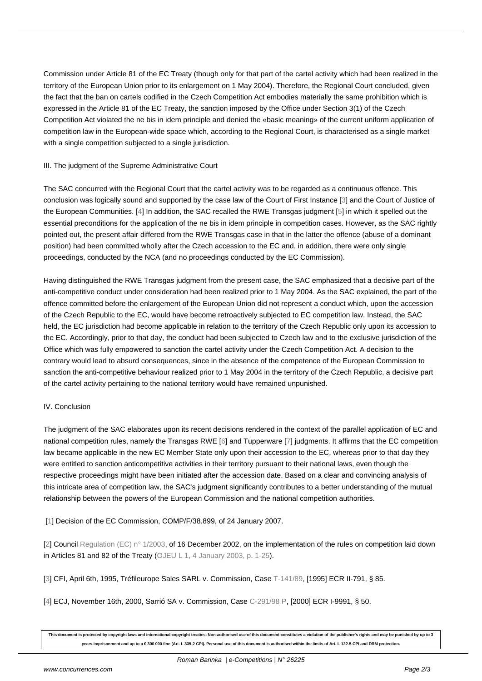Commission under Article 81 of the EC Treaty (though only for that part of the cartel activity which had been realized in the territory of the European Union prior to its enlargement on 1 May 2004). Therefore, the Regional Court concluded, given the fact that the ban on cartels codified in the Czech Competition Act embodies materially the same prohibition which is expressed in the Article 81 of the EC Treaty, the sanction imposed by the Office under Section 3(1) of the Czech Competition Act violated the ne bis in idem principle and denied the «basic meaning» of the current uniform application of competition law in the European-wide space which, according to the Regional Court, is characterised as a single market with a single competition subjected to a single jurisdiction.

#### III. The judgment of the Supreme Administrative Court

The SAC concurred with the Regional Court that the cartel activity was to be regarded as a continuous offence. This conclusion was logically sound and supported by the case law of the Court of First Instance [3] and the Court of Justice of the European Communities. [4] In addition, the SAC recalled the RWE Transgas judgment [5] in which it spelled out the essential preconditions for the application of the ne bis in idem principle in competition cases. However, as the SAC rightly pointed out, the present affair differed from the RWE Transgas case in that in the latter the offence (abuse of a dominant position) had been committed wholly after the Czech accession to the EC and, in addition, th[er](#nb3)e were only single proceedings, conducted by t[he](#nb4) NCA (and no proceedings conducted by the EC Commissio[n\)](#nb5).

Having distinguished the RWE Transgas judgment from the present case, the SAC emphasized that a decisive part of the anti-competitive conduct under consideration had been realized prior to 1 May 2004. As the SAC explained, the part of the offence committed before the enlargement of the European Union did not represent a conduct which, upon the accession of the Czech Republic to the EC, would have become retroactively subjected to EC competition law. Instead, the SAC held, the EC jurisdiction had become applicable in relation to the territory of the Czech Republic only upon its accession to the EC. Accordingly, prior to that day, the conduct had been subjected to Czech law and to the exclusive jurisdiction of the Office which was fully empowered to sanction the cartel activity under the Czech Competition Act. A decision to the contrary would lead to absurd consequences, since in the absence of the competence of the European Commission to sanction the anti-competitive behaviour realized prior to 1 May 2004 in the territory of the Czech Republic, a decisive part of the cartel activity pertaining to the national territory would have remained unpunished.

### IV. Conclusion

The judgment of the SAC elaborates upon its recent decisions rendered in the context of the parallel application of EC and national competition rules, namely the Transgas RWE [6] and Tupperware [7] judgments. It affirms that the EC competition law became applicable in the new EC Member State only upon their accession to the EC, whereas prior to that day they were entitled to sanction anticompetitive activities in their territory pursuant to their national laws, even though the respective proceedings might have been initiated after the accession date. Based on a clear and convincing analysis of this intricate area of competition law, the SAC's judgm[en](#nb6)t significantly contr[ib](#nb7)utes to a better understanding of the mutual relationship between the powers of the European Commission and the national competition authorities.

[1] Decision of the EC Commission, COMP/F/38.899, of 24 January 2007.

[2] Council Regulation (EC)  $n^{\circ}$  1/2003, of 16 December 2002, on the implementation of the rules on competition laid down i[n A](#nh1)rticles 81 and 82 of the Treaty (OJEU L 1, 4 January 2003, p. 1-25).

[\[3](#nh2)] CFI, Ap[ril 6th, 1995, Tréfileurope Sa](http://europa.eu.int/smartapi/cgi/sga_doc?smartapi!celexplus!prod!CELEXnumdoc&lg=en&numdoc=32003R0001)les SARL v. Commission, Case T-141/89, [1995] ECR II-791, § 85.

[4] ECJ, November 16th, 2000, Sar[rió SA v. Commission, Case C-291/](http://eur-lex.europa.eu/LexUriServ/LexUriServ.do?uri=OJ:L:2003:001:0001:0025:EN:PDF)98 P, [2000] ECR I-9991, § 50.

**This document is protected by copyright laws and international copyright treaties. Non-authorised use of this document constitutes a violation of the publisher's rights and may be punished by up to 3** years imprisonment and up to a € 300 000 fine (Art. L 335-2 CPI). Personal use of this d[ocument is authoris](http://curia.europa.eu/jurisp/cgi-bin/form.pl?lang=en&Submit=Rechercher&docrequire=judgements&numaff=C-291/98)ed within the limits of Art. L 122-5 CPI and DRM protection.